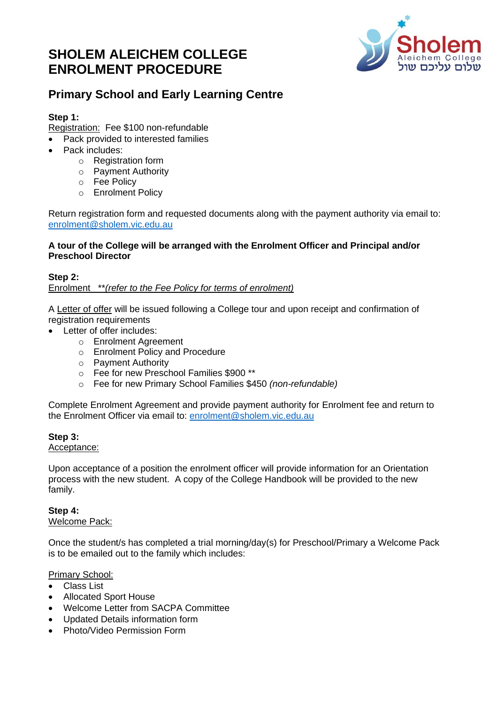# **SHOLEM ALEICHEM COLLEGE ENROLMENT PROCEDURE**



# **Primary School and Early Learning Centre**

### **Step 1:**

Registration: Fee \$100 non-refundable

- Pack provided to interested families
- Pack includes:
	- o Registration form
	- o Payment Authority
	- o Fee Policy
	- o Enrolment Policy

Return registration form and requested documents along with the payment authority via email to: [enrolment@sholem.vic.edu.au](mailto:enrolment@sholem.vic.edu.au)

#### **A tour of the College will be arranged with the Enrolment Officer and Principal and/or Preschool Director**

#### **Step 2:** Enrolment \*\**(refer to the Fee Policy for terms of enrolment)*

A Letter of offer will be issued following a College tour and upon receipt and confirmation of registration requirements

- Letter of offer includes:
	- o Enrolment Agreement
	- o Enrolment Policy and Procedure
	- o Payment Authority
	- o Fee for new Preschool Families \$900 \*\*
	- o Fee for new Primary School Families \$450 *(non-refundable)*

Complete Enrolment Agreement and provide payment authority for Enrolment fee and return to the Enrolment Officer via email to: [enrolment@sholem.vic.edu.au](mailto:enrolment@sholem.vic.edu.au)

## **Step 3:**

#### Acceptance:

Upon acceptance of a position the enrolment officer will provide information for an Orientation process with the new student. A copy of the College Handbook will be provided to the new family.

#### **Step 4:** Welcome Pack:

Once the student/s has completed a trial morning/day(s) for Preschool/Primary a Welcome Pack is to be emailed out to the family which includes:

Primary School:

- Class List
- Allocated Sport House
- Welcome Letter from SACPA Committee
- Updated Details information form
- Photo/Video Permission Form